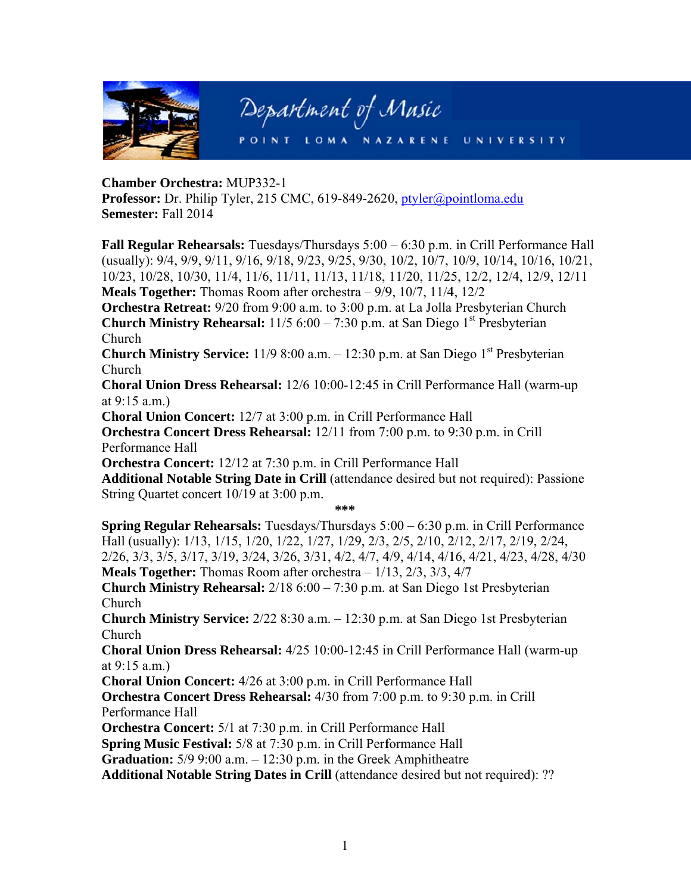

## **Chamber Orchestra: MUP332-1**

**Professor:** Dr. Philip Tyler, 215 CMC, 619-849-2620, ptyler@pointloma.edu **Semester: Fall 2014** 

**Fall Regular Rehearsals:** Tuesdays/Thursdays  $5:00 - 6:30$  p.m. in Crill Performance Hall (usually): 9/4, 9/9, 9/11, 9/16, 9/18, 9/23, 9/25, 9/30, 10/2, 10/7, 10/9, 10/14, 10/16, 10/21, 10/23, 10/28, 10/30, 11/4, 11/6, 11/11, 11/13, 11/18, 11/20, 11/25, 12/2, 12/4, 12/9, 12/11 **Meals Together:** Thomas Room after orchestra  $-9/9$ , 10/7, 11/4, 12/2 Orchestra Retreat: 9/20 from 9:00 a.m. to 3:00 p.m. at La Jolla Presbyterian Church **Church Ministry Rehearsal:**  $11/5$  6:00 – 7:30 p.m. at San Diego 1<sup>st</sup> Presbyterian Church **Church Ministry Service:**  $11/98:00$  a.m.  $-12:30$  p.m. at San Diego  $1<sup>st</sup>$  Presbyterian Church Choral Union Dress Rehearsal: 12/6 10:00-12:45 in Crill Performance Hall (warm-up at  $9:15$  a.m.) Choral Union Concert: 12/7 at 3:00 p.m. in Crill Performance Hall **Orchestra Concert Dress Rehearsal:**  $12/11$  from 7:00 p.m. to 9:30 p.m. in Crill Performance Hall **Orchestra Concert:** 12/12 at 7:30 p.m. in Crill Performance Hall Additional Notable String Date in Crill (attendance desired but not required): Passione String Quartet concert 10/19 at 3:00 p.m. sk sk sk **Spring Regular Rehearsals:** Tuesdays/Thursdays  $5:00 - 6:30$  p.m. in Crill Performance Hall (usually): 1/13, 1/15, 1/20, 1/22, 1/27, 1/29, 2/3, 2/5, 2/10, 2/12, 2/17, 2/19, 2/24, 2/26, 3/3, 3/5, 3/17, 3/19, 3/24, 3/26, 3/31, 4/2, 4/7, 4/9, 4/14, 4/16, 4/21, 4/23, 4/28, 4/30 **Meals Together:** Thomas Room after orchestra  $-1/13$ ,  $2/3$ ,  $3/3$ ,  $4/7$ **Church Ministry Rehearsal:**  $2/186:00 - 7:30$  p.m. at San Diego 1st Presbyterian Church **Church Ministry Service:**  $2/228:30$  a.m.  $-12:30$  p.m. at San Diego 1st Presbyterian Church **Choral Union Dress Rehearsal:** 4/25 10:00-12:45 in Crill Performance Hall (warm-up) at  $9:15$  a.m.) **Choral Union Concert:** 4/26 at 3:00 p.m. in Crill Performance Hall **Orchestra Concert Dress Rehearsal:** 4/30 from 7:00 p.m. to 9:30 p.m. in Crill Performance Hall **Orchestra Concert:** 5/1 at 7:30 p.m. in Crill Performance Hall Spring Music Festival: 5/8 at 7:30 p.m. in Crill Performance Hall

**Graduation:**  $5/9$  9:00 a.m.  $-12:30$  p.m. in the Greek Amphitheatre

**Additional Notable String Dates in Crill (attendance desired but not required): ??**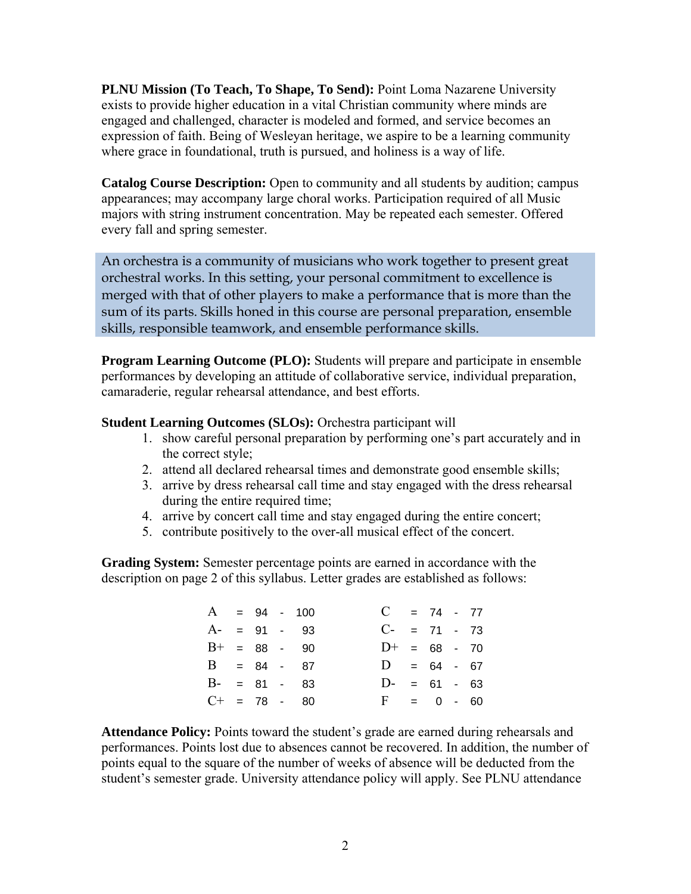**PLNU Mission (To Teach, To Shape, To Send):** Point Loma Nazarene University exists to provide higher education in a vital Christian community where minds are engaged and challenged, character is modeled and formed, and service becomes an expression of faith. Being of Wesleyan heritage, we aspire to be a learning community where grace in foundational, truth is pursued, and holiness is a way of life.

**Catalog Course Description:** Open to community and all students by audition; campus appearances; may accompany large choral works. Participation required of all Music majors with string instrument concentration. May be repeated each semester. Offered every fall and spring semester.

An orchestra is a community of musicians who work together to present great orchestral works. In this setting, your personal commitment to excellence is merged with that of other players to make a performance that is more than the sum of its parts. Skills honed in this course are personal preparation, ensemble skills, responsible teamwork, and ensemble performance skills.

**Program Learning Outcome (PLO):** Students will prepare and participate in ensemble performances by developing an attitude of collaborative service, individual preparation, camaraderie, regular rehearsal attendance, and best efforts.

**Student Learning Outcomes (SLOs):** Orchestra participant will

- 1. show careful personal preparation by performing one's part accurately and in the correct style;
- 2. attend all declared rehearsal times and demonstrate good ensemble skills;
- 3. arrive by dress rehearsal call time and stay engaged with the dress rehearsal during the entire required time;
- 4. arrive by concert call time and stay engaged during the entire concert;
- 5. contribute positively to the over-all musical effect of the concert.

**Grading System:** Semester percentage points are earned in accordance with the description on page 2 of this syllabus. Letter grades are established as follows:

| $A = 94 - 100$ |  |                | $C = 74 - 77$   |  |  |
|----------------|--|----------------|-----------------|--|--|
|                |  | $A- = 91 - 93$ | $C- = 71 - 73$  |  |  |
| $B+ = 88 - 90$ |  |                | $D^+$ = 68 - 70 |  |  |
| $B = 84 - 87$  |  |                | $D = 64 - 67$   |  |  |
| $B- = 81 - 83$ |  |                | $D- = 61 - 63$  |  |  |
| $C+ = 78 - 80$ |  |                | $F = 0 - 60$    |  |  |

**Attendance Policy:** Points toward the student's grade are earned during rehearsals and performances. Points lost due to absences cannot be recovered. In addition, the number of points equal to the square of the number of weeks of absence will be deducted from the student's semester grade. University attendance policy will apply. See PLNU attendance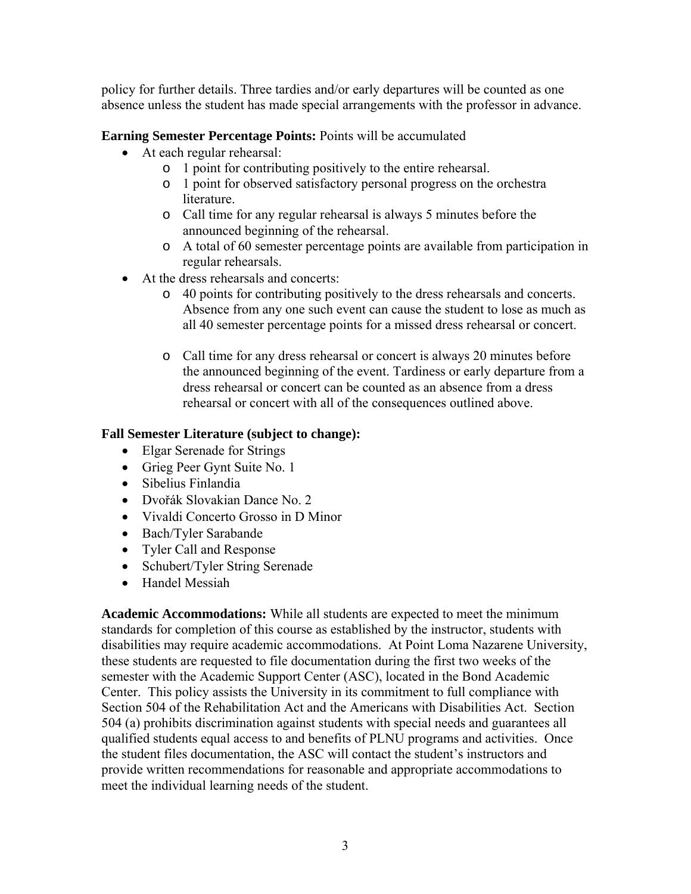policy for further details. Three tardies and/or early departures will be counted as one absence unless the student has made special arrangements with the professor in advance.

## **Earning Semester Percentage Points:** Points will be accumulated

- At each regular rehearsal:
	- o 1 point for contributing positively to the entire rehearsal.
	- o 1 point for observed satisfactory personal progress on the orchestra literature.
	- o Call time for any regular rehearsal is always 5 minutes before the announced beginning of the rehearsal.
	- o A total of 60 semester percentage points are available from participation in regular rehearsals.
- At the dress rehearsals and concerts:
	- o 40 points for contributing positively to the dress rehearsals and concerts. Absence from any one such event can cause the student to lose as much as all 40 semester percentage points for a missed dress rehearsal or concert.
	- o Call time for any dress rehearsal or concert is always 20 minutes before the announced beginning of the event. Tardiness or early departure from a dress rehearsal or concert can be counted as an absence from a dress rehearsal or concert with all of the consequences outlined above.

## **Fall Semester Literature (subject to change):**

- Elgar Serenade for Strings
- Grieg Peer Gynt Suite No. 1
- Sibelius Finlandia
- Dvořák Slovakian Dance No. 2
- Vivaldi Concerto Grosso in D Minor
- Bach/Tyler Sarabande
- Tyler Call and Response
- Schubert/Tyler String Serenade
- Handel Messiah

**Academic Accommodations:** While all students are expected to meet the minimum standards for completion of this course as established by the instructor, students with disabilities may require academic accommodations. At Point Loma Nazarene University, these students are requested to file documentation during the first two weeks of the semester with the Academic Support Center (ASC), located in the Bond Academic Center. This policy assists the University in its commitment to full compliance with Section 504 of the Rehabilitation Act and the Americans with Disabilities Act. Section 504 (a) prohibits discrimination against students with special needs and guarantees all qualified students equal access to and benefits of PLNU programs and activities. Once the student files documentation, the ASC will contact the student's instructors and provide written recommendations for reasonable and appropriate accommodations to meet the individual learning needs of the student.